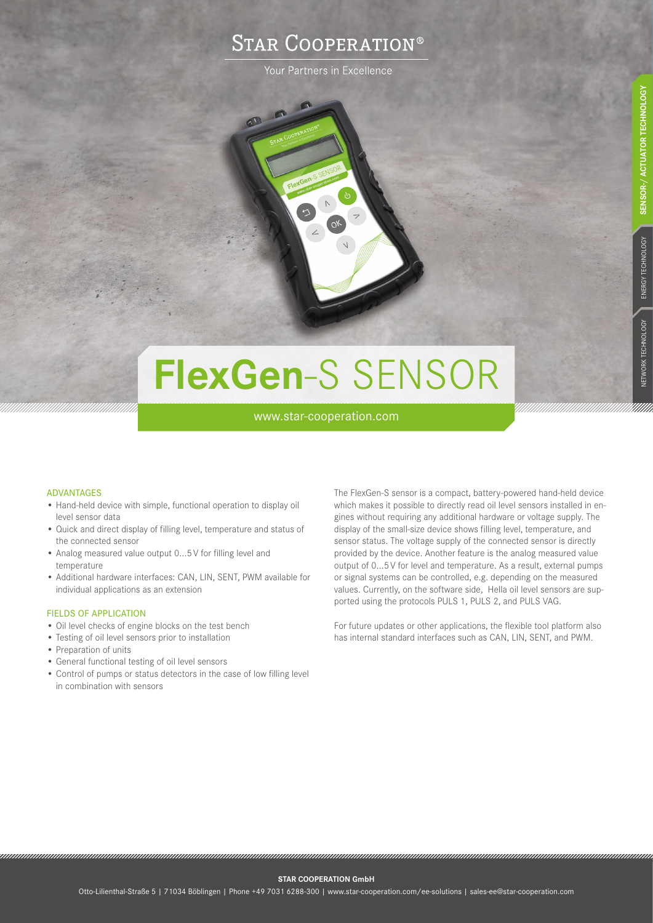# **STAR COOPERATION®**

Your Partners in Excellence

# **FlexGen**-S SENSOR

www.star-cooperation.com

# ADVANTAGES

- Hand-held device with simple, functional operation to display oil level sensor data
- Quick and direct display of filling level, temperature and status of the connected sensor
- Analog measured value output 0...5V for filling level and temperature
- Additional hardware interfaces: CAN, LIN, SENT, PWM available for individual applications as an extension

# FIELDS OF APPLICATION

- Oil level checks of engine blocks on the test bench
- Testing of oil level sensors prior to installation
- Preparation of units
- General functional testing of oil level sensors
- Control of pumps or status detectors in the case of low filling level in combination with sensors

The FlexGen-S sensor is a compact, battery-powered hand-held device which makes it possible to directly read oil level sensors installed in engines without requiring any additional hardware or voltage supply. The display of the small-size device shows filling level, temperature, and sensor status. The voltage supply of the connected sensor is directly provided by the device. Another feature is the analog measured value output of 0...5V for level and temperature. As a result, external pumps or signal systems can be controlled, e.g. depending on the measured values. Currently, on the software side, Hella oil level sensors are supported using the protocols PULS 1, PULS 2, and PULS VAG.

For future updates or other applications, the flexible tool platform also has internal standard interfaces such as CAN, LIN, SENT, and PWM.

#### **STAR COOPERATION GmbH**